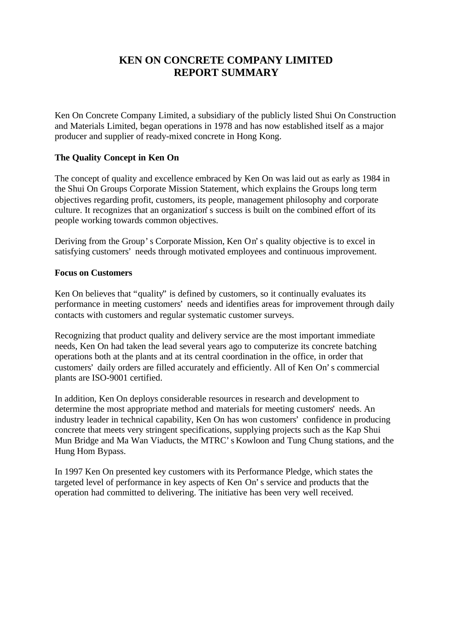# **KEN ON CONCRETE COMPANY LIMITED REPORT SUMMARY**

Ken On Concrete Company Limited, a subsidiary of the publicly listed Shui On Construction and Materials Limited, began operations in 1978 and has now established itself as a major producer and supplier of ready-mixed concrete in Hong Kong.

## **The Quality Concept in Ken On**

The concept of quality and excellence embraced by Ken On was laid out as early as 1984 in the Shui On Groups Corporate Mission Statement, which explains the Groups long term objectives regarding profit, customers, its people, management philosophy and corporate culture. It recognizes that an organization's success is built on the combined effort of its people working towards common objectives.

Deriving from the Group's Corporate Mission, Ken On's quality objective is to excel in satisfying customers' needs through motivated employees and continuous improvement.

### **Focus on Customers**

Ken On believes that "quality" is defined by customers, so it continually evaluates its performance in meeting customers' needs and identifies areas for improvement through daily contacts with customers and regular systematic customer surveys.

Recognizing that product quality and delivery service are the most important immediate needs, Ken On had taken the lead several years ago to computerize its concrete batching operations both at the plants and at its central coordination in the office, in order that customers' daily orders are filled accurately and efficiently. All of Ken On's commercial plants are ISO-9001 certified.

In addition, Ken On deploys considerable resources in research and development to determine the most appropriate method and materials for meeting customers' needs. An industry leader in technical capability, Ken On has won customers' confidence in producing concrete that meets very stringent specifications, supplying projects such as the Kap Shui Mun Bridge and Ma Wan Viaducts, the MTRC's Kowloon and Tung Chung stations, and the Hung Hom Bypass.

In 1997 Ken On presented key customers with its Performance Pledge, which states the targeted level of performance in key aspects of Ken On's service and products that the operation had committed to delivering. The initiative has been very well received.